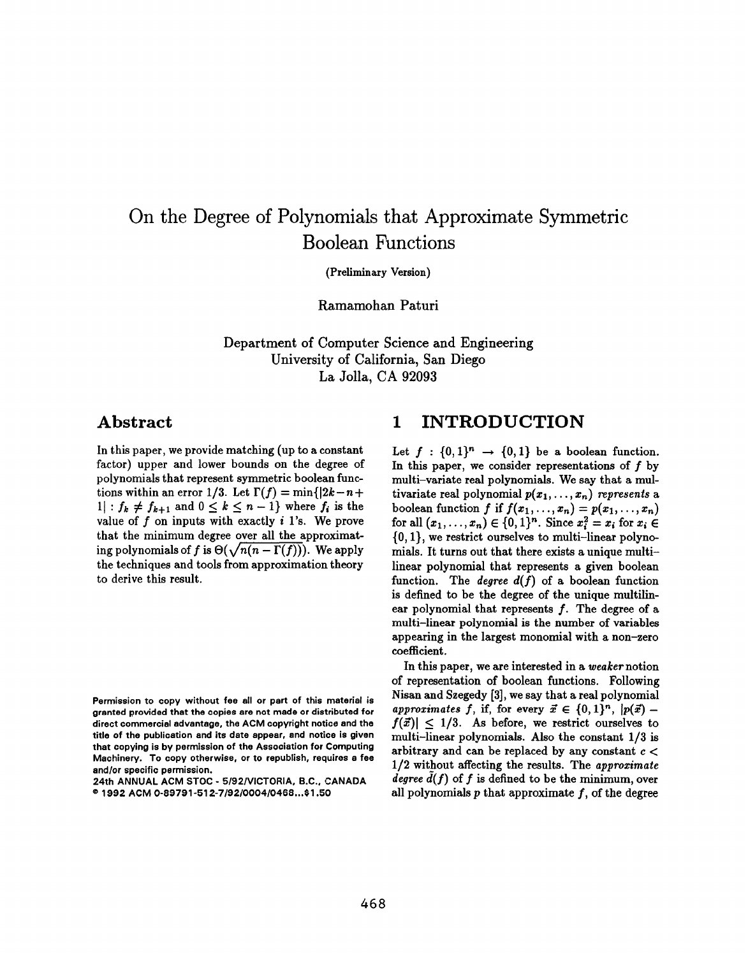# On the Degree of Polynomials that Approximate Symmetric Boolean Functions

(Preliminary Version)

Ramamohan Paturi

Department of Computer Science and Engineer University of California, San Diego La Jolla, CA 92093

### Abstract

In this paper, we provide matching (up to a constant factor) upper and lower bounds on the degree of polynomials that represent symmetric boolean functions within an error 1/3. Let  $\Gamma(f) = \min\{|2k - n +$  $1: f_k \neq f_{k+1}$  and  $0 \leq k \leq n-1$ } where  $f_i$  is the value of  $f$  on inputs with exactly  $i$  1's. We prove that the minimum degree over all the approximating polynomials of f is  $\Theta(\sqrt{n(n-\Gamma(f))})$ . We apply the techniques and tools from approximation theory to derive this result.

### 1 INTRODUCTION

Let  $f : \{0,1\}^n \rightarrow \{0,1\}$  be a boolean function. In this paper, we consider representations of  $f$  by multi–variate real polynomials. We say that a multivariate real polynomial  $p(x_1,...,x_n)$  represents a boolean function f if  $f(x_1,...,x_n) = p(x_1,...,x_n)$ for all  $(x_1,..., x_n) \in \{0,1\}^n$ . Since  $x_i^2 = x_i$  for  $x_i \in$  $\{0,1\}$ , we restrict ourselves to multi-linear polynomials. It turns out that there exists a unique multi– linear polynomial that represents a given boolean function. The *degree*  $d(f)$  of a boolean function is defined to be the degree of the unique multilinear polynomial that represents  $f$ . The degree of a multi–linear polynomial is the number of variables appearing in the largest monomial with a non–zero coefficient.

In this paper, we are interested in a weaker notion of representation of boolean functions. Following Nisan and Szegedy [3], we say that a real polynomial approximates f, if, for every  $\vec{x} \in \{0,1\}^n$ ,  $|p(\vec{x}) |f(\vec{x})|$  < 1/3. As before, we restrict ourselves to multi–linear polynomials. Also the constant 1/3 is arbitrary and can be replaced by any constant  $c <$  $1/2$  without affecting the results. The approximate degree  $d(f)$  of f is defined to be the minimum, over all polynomials  $p$  that approximate  $f$ , of the degree

Permission to copy without fee all or part of this material is granted provided that the copies are not made or distributed for direct commercial advantage, the ACM copyright notice and the title of the publication and its date appear, and notice is given that copying is by permission of the Association for Computing Machinery. To copy otherwise, or to republish, requires a fee and/or specific permission.

<sup>24</sup>th ANNUAL ACM STOC - 5/92/VICTORIA, B.C., CANADA e 1992 ACM 0-89791-51 2-7/92/0004/0468 ...\$1 .50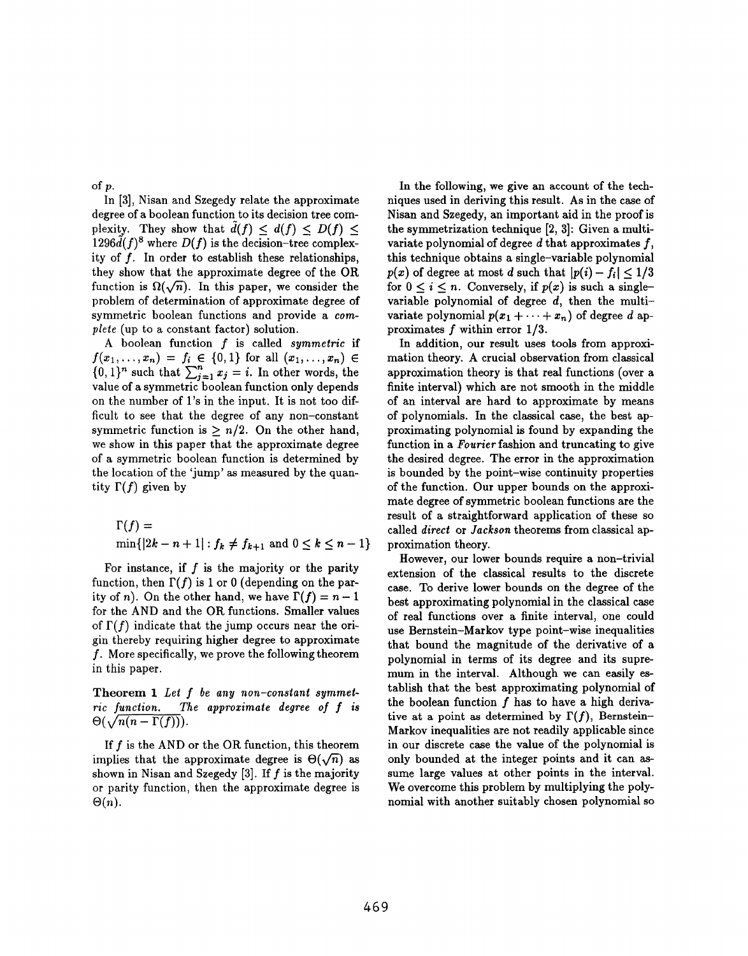of p.

In [3], Nisan and Szegedy relate the approximate degree of a boolean function to its decision tree complexity. They show that  $\tilde{d}(f) \leq d(f) \leq D(f) \leq$  $1296\ddot{d}(f)^8$  where  $D(f)$  is the decision–tree complexity of  $f$ . In order to establish these relationships, they show that the approximate degree of the OR function is  $\Omega(\sqrt{n})$ . In this paper, we consider the problem of determination of approximate degree of symmetric boolean functions and provide a compiete (up to a constant factor) solution.

A boolean function  $f$  is called symmetric if  $f(x_1,...,x_n) = f_i \in \{0,1\}$  for all  $(x_1,...,x_n) \in$  $\{0, 1\}$ " such that  $\sum_{j=1} x_j = i$ . In other words, the value of a symmetric boolean function only depends on the number of 1's in the input. It is not too difficult to see that the degree of any non-constant symmetric function is  $\geq n/2$ . On the other hand, we show in this paper that the approximate degree of a symmetric boolean function is determined by the location of the 'jump' as measured by the quantity  $\Gamma(f)$  given by

$$
\Gamma(f) = \min\{|2k - n + 1| : f_k \neq f_{k+1} \text{ and } 0 \leq k \leq n - 1\}
$$

For instance, if  $f$  is the majority or the parity function, then  $\Gamma(f)$  is 1 or 0 (depending on the parity of n). On the other hand, we have  $\Gamma(f) = n - 1$ for the AND and the OR functions. Smaller values of  $\Gamma(f)$  indicate that the jump occurs near the origin thereby requiring higher degree to approximate f. More specifically, we prove the following theorem in this paper.

Theorem 1 Let f be any non-constant symmetric function. The approximate degree of f is  $\Theta(\sqrt{n(n - \Gamma(f))}).$ 

If  $f$  is the AND or the OR function, this theorem implies that the approximate degree is  $\Theta(\sqrt{n})$  as shown in Nisan and Szegedy [3]. If  $f$  is the majority or parity function, then the approximate degree is  $\Theta(n)$ .

In the following, we give an account of the techniques used in deriving this result. As in the case of Nisan and Szegedy, an important aid in the proof is the symmetrization technique [2, 3]: Given a multivariate polynomial of degree  $d$  that approximates  $f$ , this technique obtains a single–variable polynomial  $p(x)$  of degree at most d such that  $|p(i) - f_i| < 1/3$ for  $0 \leq i \leq n$ . Conversely, if  $p(x)$  is such a singlevariable polynomial of degree  $d$ , then the multivariate polynomial  $p(x_1 + \cdots + x_n)$  of degree d approximates f within error 1/3.

In addition, our result uses tools from approximation theory. A crucial observation from classical approximation theory is that real functions (over a finite interval) which are not smooth in the middle of an interval are hard to approximate by means of polynomials. In the classical caae, the best approximating polynomial is found by expanding the function in a Fourier fashion and truncating to give the desired degree. The error in the approximation is bounded by the point–wise continuity properties of the function. Our upper bounds on the approximate degree of symmetric boolean functions are the result of a straightforward application of these so called direct or Jackson theorems from classical approximation theory.

However, our lower bounds require a non–trivial extension of the classical results to the discrete case. To derive lower bounds on the degree of the best approximating polynomial in the classical case of real functions over a finite interval, one could use Bernstein–Markov type point–wise inequalities that bound the magnitude of the derivative of a polynomial in terms of its degree and its supremum in the interval. Although we can easily establish that the best approximating polynomial of the boolean function  $f$  has to have a high derivative at a point as determined by  $\Gamma(f)$ , Bernstein– Markov inequalities are not readily applicable since in our discrete case the value of the polynomial is only bounded at the integer points and it can assume large values at other points in the interval. We overcome this problem by multiplying the polynomial with another suitably chosen polynomial so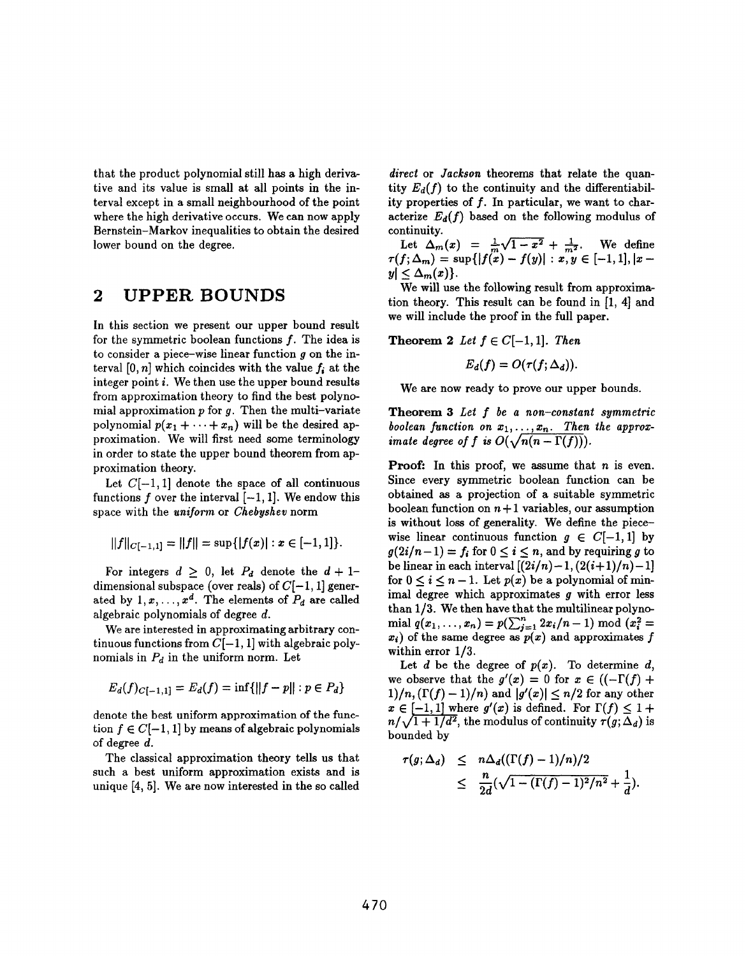that the product polynomial still has a high derivative and its value is small at all points in the interval except in a small neighbourhood of the point where the high derivative occurs. We can now apply Bernstein–Markov inequalities to obtain the desired lower bound on the degree.

## 2 UPPER BOUNDS

In this section we present our upper bound result for the symmetric boolean functions  $f$ . The idea is to consider a piece–wise linear function  $g$  on the interval  $[0, n]$  which coincides with the value  $f_i$  at the integer point i. We then use the upper bound results from approximation theory to find the best polynomial approximation  $p$  for  $q$ . Then the multi-variate polynomial  $p(x_1 + \cdots + x_n)$  will be the desired approximation. We will first need some terminology in order to state the upper bound theorem from approximation theory.

Let  $C[-1, 1]$  denote the space of all continuous functions f over the interval  $[-1, 1]$ . We endow this space with the uniform or Chebyshev norm

$$
||f||_{C[-1,1]}=||f||=\sup\{|f(x)|:x\in[-1,1]\}.
$$

For integers  $d \geq 0$ , let  $P_d$  denote the  $d + 1$ dimensional subspace (over reals) of  $C[-1, 1]$  generated by  $1, x, \ldots, x^d$ . The elements of  $P_d$  are called algebraic polynomials of degree d.

We are interested in approximating arbitrary continuous functions from  $C[-1, 1]$  with algebraic polynomials in  $P_d$  in the uniform norm. Let

$$
E_d(f)_{C[-1,1]} = E_d(f) = \inf\{||f - p|| : p \in P_d\}
$$

denote the best uniform approximation of the function  $f \in C[-1, 1]$  by means of algebraic polynomials of degree d.

The classical approximation theory tells us that such a best uniform approximation exists and is unique [4, 5]. We are now interested in the so called direct or Jackson theorems that relate the quantity  $E_d(f)$  to the continuity and the differentiability properties of  $f$ . In particular, we want to characterize  $E_d(f)$  based on the following modulus of continuity.

Let  $\Delta_m(x) = \frac{1}{m}\sqrt{1-x^2} + \frac{1}{m^2}$ . We define  $\tau(f; \Delta_m) = \sup\{|f(x) - f(y)| : x, y \in [-1, 1], |x|$  $y \leq \Delta_m(x)$ .

We will use the following result from approximation theory. This result can be found in [1, 4] and we will include the proof in the full paper.

**Theorem 2** Let  $f \in C[-1, 1]$ . Then

$$
E_d(f)=O(\tau(f;\Delta_d)).
$$

We are now ready to prove our upper bounds.

Theorem 3 Let f be a non-constant symmetric boolean function on  $x_1, \ldots, x_n$ . Then the approx imate degree of f is  $O(\sqrt{n})$ 

**Proof:** In this proof, we assume that  $n$  is even. Since every symmetric boolean function can be obtained as a projection of a suitable symmetric boolean function on  $n+1$  variables, our assumption is without loss of generality. We define the piece– wise linear continuous function  $g \in C[-1,1]$  by  $g(2i/n-1) = f_i$  for  $0 \le i \le n$ , and by requiring g to be linear in each interval  $[(2i/n)-1, (2(i+1)/n)-1]$ for  $0 \leq i \leq n-1$ . Let  $p(x)$  be a polynomial of minimal degree which approximates g with error less than  $1/3$ . We then have that the multilinear polynomial  $q(x_1, \ldots, x_n) = p(\sum_{i=1}^n 2x_i/n - 1) \mod (x_i^2)$  $x_i$ ) of the same degree as  $p(x)$  and approximates f within error 1/3.

Let  $d$  be the degree of  $p(x)$ . To determine  $d$ , we observe that the  $g'(x) = 0$  for  $x \in ((-\Gamma(f) +$  $1)/n$ ,  $(\Gamma(f) - 1)/n$  and  $|g'(x)| \leq n/2$  for any other  $n/\sqrt{1+1/d^2}$ , the modulus of continuity  $\tau(g;\Delta_d)$  is  $x \in [-1,1]$  where  $g'(x)$  is defined. For  $\Gamma(f) \leq 1 +$ bounded by

$$
\tau(g;\Delta_d) \leq n\Delta_d((\Gamma(f)-1)/n)/2
$$
  
 
$$
\leq \frac{n}{2d}(\sqrt{1-(\Gamma(f)-1)^2/n^2}+\frac{1}{d}).
$$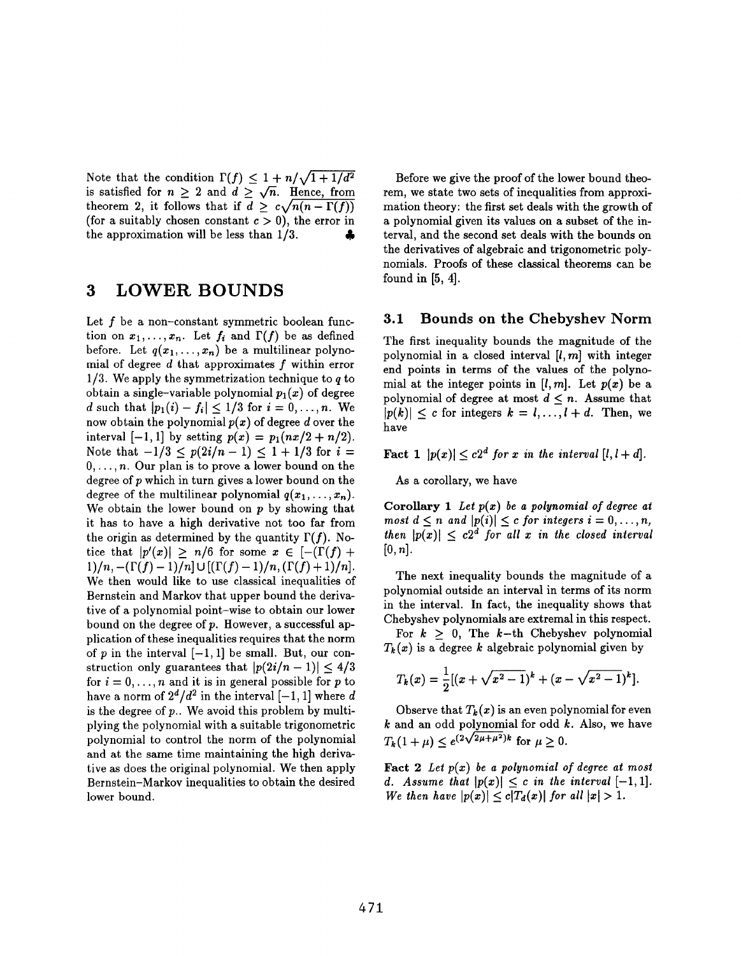Note that the condition  $\Gamma(f) \leq 1 + n/\sqrt{2}$ is satisfied for  $n \geq 2$  and  $d \geq \sqrt{n}$ . Hence, from theorem 2, it follows that if  $d \geq c\sqrt{n(n - \Gamma(f))}$ (for a suitably chosen constant  $c > 0$ ), the error in the approximation will be less than  $1/3$ .

## 3 LOWER BOUNDS

Let  $f$  be a non–constant symmetric boolean function on  $x_1, \ldots, x_n$ . Let  $f_i$  and  $\Gamma(f)$  be as defined before. Let  $q(x_1, \ldots, x_n)$  be a multilinear polynomial of degree  $d$  that approximates  $f$  within error  $1/3$ . We apply the symmetrization technique to q to obtain a single–variable polynomial  $p_1(x)$  of degree d such that  $|p_1(i)-f_i| \leq 1/3$  for  $i=0,\ldots,n$ . We now obtain the polynomial  $p(x)$  of degree d over the interval  $[-1, 1]$  by setting  $p(x) = p_1(nx/2 + n/2)$ . Note that  $-1/3 \le p(2i/n - 1) \le 1 + 1/3$  for  $i =$  $0, \ldots, n$ . Our plan is to prove a lower bound on the degree of  $p$  which in turn gives a lower bound on the degree of the multilinear polynomial  $q(x_1,...,x_n)$ . We obtain the lower bound on  $p$  by showing that it has to have a high derivative not too far from the origin as determined by the quantity  $\Gamma(f)$ . Notice that  $|p'(x)| \ge n/6$  for some  $x \in [-(\Gamma(f)) +$  $1)/n$ ,  $-(\Gamma(f)-1)/n] \cup [(\Gamma(f)-1)/n, (\Gamma(f)+1)/n].$ We then would like to use classical inequalities of Bernstein and Markov that upper bound the derivative of a polynomial point–wise to obtain our lower bound on the degree of  $p$ . However, a successful application of these inequalities requires that the norm of p in the interval  $[-1, 1]$  be small. But, our construction only guarantees that  $|p(2i/n - 1)| \leq 4/3$ for  $i=0, \ldots, n$  and it is in general possible for p to have a norm of  $2^d/d^2$  in the interval  $[-1, 1]$  where d is the degree of  $p$ .. We avoid this problem by multiplying the polynomial with a suitable trigonometric polynomial to control the norm of the polynomial and at the same time maintaining the high derivative as does the original polynomial. We then apply Bernstein–Markov inequalities to obtain the desired lower bound.

Before we give the proof of the lower bound theorem, we state two sets of inequalities from approximation theory: the first set deals with the growth of a polynomial given its values on a subset of the interval, and the second set deals with the bounds on the derivatives of algebraic and trigonometric polynomials. Proofs of these classical theorems can be found in [5, 4].

#### 3.1 Bounds on the Chebyshev Norm

The first inequality bounds the magnitude of the polynomial in a closed interval  $[i, m]$  with integer end points in terms of the values of the polynomial at the integer points in  $[l, m]$ . Let  $p(x)$  be a polynomial of degree at most  $d \leq n$ . Assume that  $|p(k)| \leq c$  for integers  $k = l, ..., l + d$ . Then, we have

**Fact 1**  $|p(x)| \le c2^d$  for x in the interval  $[l, l+d]$ .

As a corollary, we have

Corollary 1 Let  $p(x)$  be a polynomial of degree at most  $d \leq n$  and  $|p(i)| \leq c$  for integers  $i = 0, \ldots, n$ , then  $|p(x)| \leq c2^d$  for all x in the closed interval  $[0, n]$ .

The next inequality bounds the magnitude of a polynomial outside an interval in terms of its norm in the interval. In fact, the inequality shows that Chebyshev polynomials are extremal in this respect. For  $k > 0$ , The k–th Chebyshev polynomial

 $T_k(x)$  is a degree k algebraic polynomial given by

$$
T_k(x) = \frac{1}{2}[(x + \sqrt{x^2 - 1})^k + (x - \sqrt{x^2 - 1})^k].
$$

Observe that  $T_k(x)$  is an even polynomial for even  $k$  and an odd polynomial for odd  $k$ . Also, we have  $T_k(1 + \mu) < e^{(2\sqrt{2\mu + \mu^2})k}$  for  $\mu \ge 0$ .

Fact  $2$  Let  $p(x)$  be a polynomial of degree at most d. Assume that  $|p(x)| \leq c$  in the interval  $[-1, 1]$ . We then have  $|p(x)| \le c |T_d(x)|$  for all  $|x| > 1$ .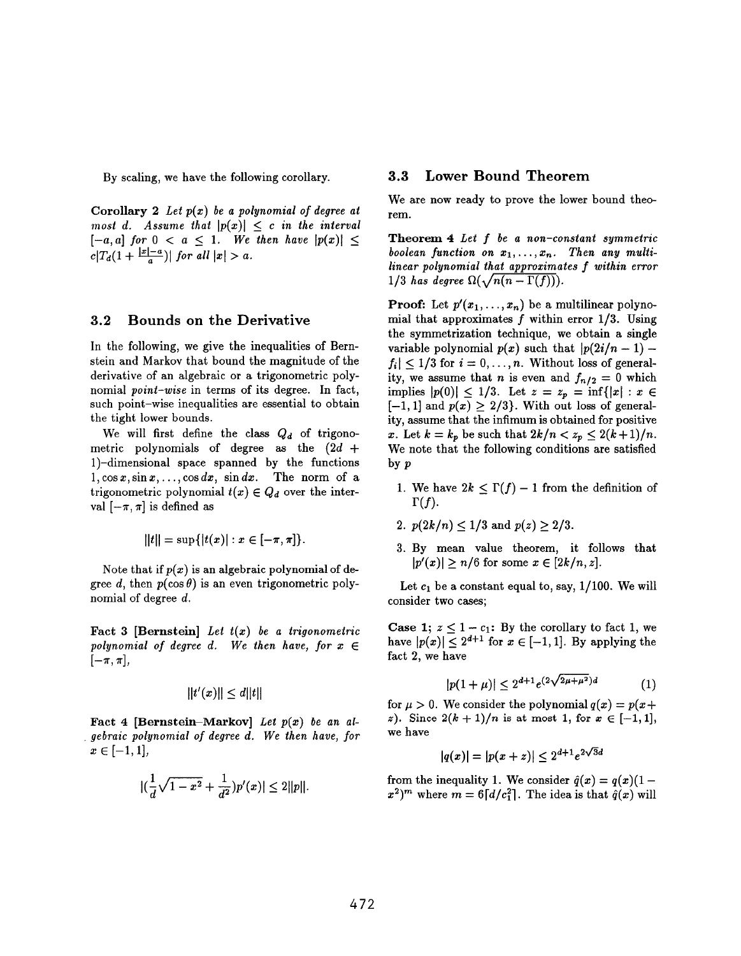By scaling, we have the following corollary.

Corollary 2 Let  $p(x)$  be a polynomial of degree at most d. Assume that  $|p(x)| \leq c$  in the interval  $[-a, a]$  for  $0 < a \leq 1$ . We then have  $|p(x)| \leq$  $c|T_d(1+\frac{|x|-a}{a})|$  for all  $|x|>a$ .

#### 3.2 Bounds on the Derivative

In the following, we give the inequalities of Bernstein and Markov that bound the magnitude of the derivative of an algebraic or a trigonometric polynomial point–wise in terms of its degree. In fact, such point–wise inequalities are essential to obtain the tight lower bounds.

We will first define the class  $Q_d$  of trigonometric polynomials of degree as the  $(2d +$ 1)–dimensional space spanned by the functions  $1, \cos x, \sin x, \ldots, \cos dx, \sin dx.$  The norm of a trigonometric polynomial  $t(x) \in Q_d$  over the interval  $[-\pi, \pi]$  is defined as

$$
||t|| = \sup\{|t(x)| : x \in [-\pi, \pi]\}.
$$

Note that if  $p(x)$  is an algebraic polynomial of degree d, then  $p(\cos \theta)$  is an even trigonometric polynomial of degree d.

Fact 3 [Bernstein] Let  $t(x)$  be a trigonometric polynomial of degree d. We then have, for  $x \in$  $[-\pi, \pi]$ ,

$$
||t'(x)|| \leq d||t||
$$

Fact 4 [Bernstein–Markov] Let  $p(x)$  be an algebraic polynomial of degree d. We then have, for  $x \in [-1,1],$ 

$$
|(\frac{1}{d}\sqrt{1-x^2}+\frac{1}{d^2})p'(x)|\leq 2||p||.
$$

#### 3.3 Lower Bound Theorem

We are now ready to prove the lower bound theorem.

Theorem 4 Let f be a non-constant symmetric boolean function on  $x_1, \ldots, x_n$ . Then any multi $linear polynomial that approximates f within error$ 1/3 has degree  $\Omega(\sqrt{n(n - \Gamma(f))})$ .

**Proof:** Let  $p'(x_1,...,x_n)$  be a multilinear polynomial that approximates  $f$  within error  $1/3$ . Using the symmetrization technique, we obtain a single variable polynomial  $p(x)$  such that  $|p(2i/n - 1) |f_i| \leq 1/3$  for  $i=0,\ldots,n$ . Without loss of generality, we assume that *n* is even and  $f_{n/2} = 0$  which implies  $|p(0)| \leq 1/3$ . Let  $z = z_p = \inf\{|x| : x \in$  $[-1, 1]$  and  $p(x) \geq 2/3$ . With out loss of generality, assume that the infimum is obtained for positive x. Let  $k = k_p$  be such that  $2k/n < z_p \leq 2(k + 1)/n$ . We note that the following conditions are satisfied by p

- 1. We have  $2k \leq \Gamma(f) 1$  from the definition of  $\Gamma(f).$
- 2.  $p(2k/n) \leq 1/3$  and  $p(z) \geq 2/3$
- 3. By mean value theorem, it follows that  $|p'(x)| \ge n/6$  for some  $x \in [2k/n, z]$ .

Let  $c_1$  be a constant equal to, say,  $1/100$ . We will consider two cases;

**Case 1;**  $z \leq 1 - c_1$ : By the corollary to fact 1, we have  $|p(x)| \leq 2^{d+1}$  for  $x \in [-1,1]$ . By applying the fact 2, we have

$$
|p(1+\mu)| \le 2^{d+1} e^{(2\sqrt{2\mu+\mu^2})d} \tag{1}
$$

for  $\mu > 0$ . We consider the polynomial  $q(x) = p(x+)$ z). Since  $2(k + 1)/n$  is at most 1, for  $x \in [-1, 1]$ , we have

$$
|q(x)| = |p(x+z)| \le 2^{d+1} e^{2\sqrt{3}d}
$$

from the inequality 1. We consider  $\hat{q}(x)= q(x)(1$  $x^2$ )<sup>*m*</sup> where  $m = 6 \lceil d/c_1^2 \rceil$ . The idea is that  $\hat{q}(x)$  will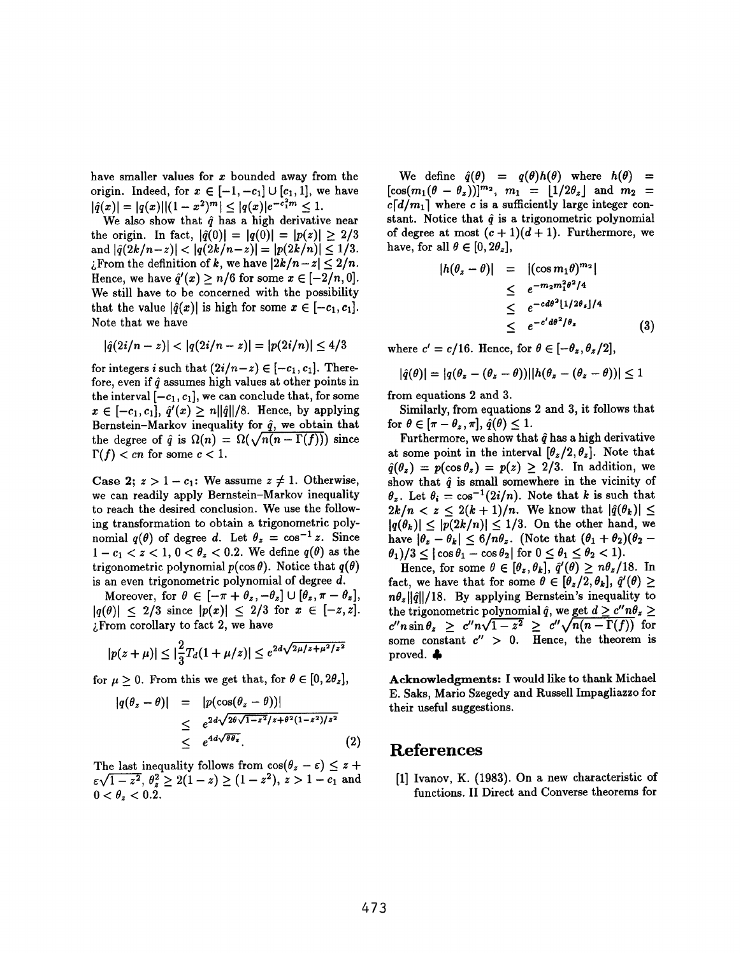have smaller values for z bounded away from the origin. Indeed, for  $x \in [-1, -c_1] \cup [c_1, 1]$ , we have  $|\hat{q}(x)| = |q(x)||(1-x^2)^m| < |q(x)|e^{-c_1^2m} \leq 1.$ 

We also show that  $\hat{q}$  has a high derivative near the origin. In fact,  $|q(0)| = |q(0)| = |p(z)| > 2/3$ and  $|q(2k/n-z)| < |q(2k/n-z)| = |p(2k/n)| \leq 1/3$ . Extemption of k, we have  $|2k/n - z| \leq 2/n$ . Hence, we have  $\hat{q}'(x) \ge n/6$  for some  $x \in [-2/n, 0]$ . We still have to be concerned with the possibility that the value  $|\hat{q}(x)|$  is high for some  $x \in [-c_1, c_1]$ . Note that we have

$$
|\hat{q}(2i/n-z)| < |q(2i/n-z)| = |p(2i/n)| \leq 4/3
$$

for integers i such that  $(2i/n-z) \in [-c_1, c_1]$ . Therefore, even if  $\hat{a}$  assumes high values at other points in the interval  $[-c_1, c_1]$ , we can conclude that, for some  $x \in [-c_1, c_1], \hat{q}'(x) \geq n ||\hat{q}||/8.$  Hence, by applying Bernstein–Markov inequality for  $\hat{q}$ , we obtain that the degree of  $\hat{q}$  is  $\Omega(n) = \Omega(\sqrt{n(n-\Gamma(f))})$  since  $\Gamma(f) < cn$  for some  $c < 1$ .

Case 2;  $z > 1 - c_1$ : We assume  $z \neq 1$ . Otherwise, we can readily apply Bernstein–Markov inequality to reach the desired conclusion. We use the following transformation to obtain a trigonometric polynomial  $q(\theta)$  of degree d. Let  $\theta_z = \cos^{-1} z$ . Since  $1-c_1 < z < 1$ ,  $0 < \theta_z < 0.2$ . We define  $q(\theta)$  as the trigonometric polynomial  $p(\cos \theta)$ . Notice that  $q(\theta)$ is an even trigonometric polynomial of degree d.

Moreover, for  $\theta \in [-\pi + \theta_z, -\theta_z] \cup [\theta_z, \pi - \theta_z],$  $|q(\theta)| < 2/3$  since  $|p(x)| \leq 2/3$  for  $x \in [-z, z]$ .  $;$  From corollary to fact 2, we have

$$
|p(z+\mu)| \le |\frac{2}{3}T_d(1+\mu/z)| \le e^{2d\sqrt{2\mu/z+\mu^2/z^2}}
$$

for  $\mu \geq 0$ . From this we get that, for  $\theta \in [0, 2\theta_z]$ ,

$$
|q(\theta_z - \theta)| = |p(\cos(\theta_z - \theta))|
$$
  
\n
$$
\leq e^{2d\sqrt{2\theta\sqrt{1-z^2}/z + \theta^2(1-z^2)/z^2}}
$$
  
\n
$$
\leq e^{4d\sqrt{\theta\theta_z}}.
$$
 (2)

The last inequality follows from  $\cos(\theta_z - \varepsilon) \leq z +$  $\epsilon\sqrt{1-z^2}, \theta_z^2 \geq 2(1-z) \geq (1-z^2), \ z>1-c_1$  and  $0 < \theta_z < 0.2$ .

We define  $\hat{q}(\theta) = q(\theta)h(\theta)$  where  $h(\theta) =$  $[\cos(m_1(\theta - \theta_z))]^{m_2}$ ,  $m_1 = |1/2\theta_z|$  and  $m_2 =$  $c \lceil d/m_1 \rceil$  where c is a sufficiently large integer constant. Notice that  $\hat{q}$  is a trigonometric polynomial of degree at most  $(c + 1)(d + 1)$ . Furthermore, we have, for all  $\theta \in [0, 2\theta_z]$ ,

$$
|h(\theta_z - \theta)| = |(\cos m_1 \theta)^{m_2}|
$$
  
\n
$$
\leq e^{-m_2 m_1^2 \theta^2 / 4}
$$
  
\n
$$
\leq e^{-c d \theta^2 |1/2 \theta_z| / 4}
$$
  
\n
$$
\leq e^{-c' d \theta^2 / \theta_z}
$$
 (3)

where  $c' = c/16$ . Hence, for  $\theta \in [-\theta_z, \theta_z/2]$ ,

$$
|\hat{q}(\theta)| = |q(\theta_z - (\theta_z - \theta))||h(\theta_z - (\theta_z - \theta))| \leq 1
$$

from equations 2 and 3.

Similarly, from equations 2 and 3, it follows that for  $\theta \in [\pi - \theta_z, \pi], \hat{q}(\theta) \leq 1$ .

Furthermore, we show that  $\hat{q}$  has a high derivative at some point in the interval  $[\theta_z/2, \theta_z]$ . Note that  $\hat{q}(\theta_z) = p(\cos \theta_z) = p(z) \geq 2/3$ . In addition, we show that  $\hat{q}$  is small somewhere in the vicinity of  $\theta_{\star}$ . Let  $\theta_i = \cos^{-1}(2i/n)$ . Note that k is such that  $2k/n < z \leq 2(k+1)/n$ . We know that  $|\hat{q}(\theta_k)| \leq$  $|q(\theta_k)| < |p(2k/n)| < 1/3$ . On the other hand, we have  $|\theta_z - \theta_k| \leq 6/n\theta_z$ . (Note that  $(\theta_1 + \theta_2)(\theta_2 \theta_1/3 \leq |\cos \theta_1 - \cos \theta_2|$  for  $0 \leq \theta_1 \leq \theta_2 < 1$ .

Hence, for some  $\theta \in [\theta_z, \theta_k]$ ,  $\hat{q}'(\theta) \geq n\theta_z/18$ . In fact, we have that for some  $\theta \in [\theta_z/2, \theta_k]$ ,  $\hat{q}'(\theta) \geq$  $n\theta_z ||\hat{q}||/18$ . By applying Bernstein's inequality to the trigonometric polynomial  $\hat{q}$ , we get  $d \geq c'' n \theta_z \geq$  $c''n \sin \theta_z \geq c''n\sqrt{1-z^2} \geq c''\sqrt{n(n-\Gamma(f))}$  for some constant  $c'' > 0$ . Hence, the theorem is proved.  $\clubsuit$ 

Acknowledgments: I would like to thank Michael E. Saks, Mario Szegedy and Russell Impagliazzo for their useful suggestions.

#### References

[1] Ivanov, K. (1983). On a new characteristic of functions. II Direct and Converse theorems for